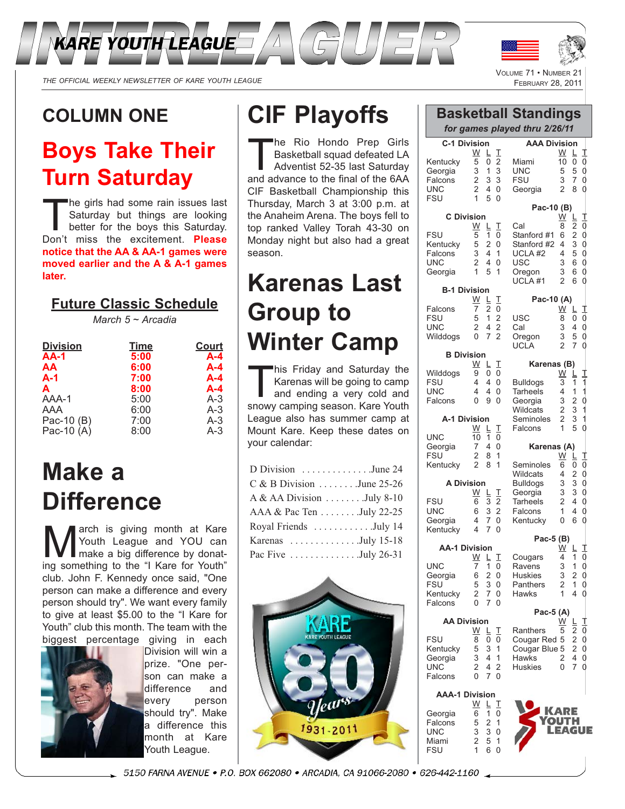



THE OFFICIAL WEEKLY NEWSLETTER OF KARE YOUTH LEAGUE

### **COLUMN ONE**

### **Boys Take Their Turn Saturday**

The girls had some rain issues last Saturday but things are looking better for the boys this Saturday. Don't miss the excitement. **Please notice that the AA & AA-1 games were moved earlier and the A & A-1 games later.**

#### **Future Classic Schedule**

*March 5 ~ Arcadia*

| <b>Division</b> | <b>Time</b> | Court   |
|-----------------|-------------|---------|
| <b>AA-1</b>     | 5:00        | $A - 4$ |
| <b>AA</b>       | 6:00        | $A - 4$ |
| $A-1$           | 7:00        | $A - 4$ |
| A               | 8:00        | $A - 4$ |
| AAA-1           | 5:00        | $A-3$   |
| AAA             | 6:00        | $A-3$   |
| Pac-10 (B)      | 7:00        | $A-3$   |
| Pac-10 (A)      | 8:00        | $A-3$   |

## **Make a Difference**

**March is giving month at Kare**<br>Make a big difference by donat-<br>ing something to the "LKare for Youth" Youth League and YOU can ing something to the "I Kare for Youth" club. John F. Kennedy once said, "One person can make a difference and every person should try". We want every family to give at least \$5.00 to the "I Kare for Youth" club this month. The team with the biggest percentage giving in each



Division will win a prize. "One person can make a difference and every person should try". Make a difference this month at Kare Youth League.

## **CIF Playoffs**

The Rio Hondo Prep Girls<br>Basketball squad defeated LA<br>Adventist 52-35 last Saturday Basketball squad defeated LA Adventist 52-35 last Saturday and advance to the final of the 6AA CIF Basketball Championship this Thursday, March 3 at 3:00 p.m. at the Anaheim Arena. The boys fell to top ranked Valley Torah 43-30 on Monday night but also had a great season.

# **Karenas Last Group to Winter Camp**

This Friday and Saturday the<br>Karenas will be going to camp<br>and ending a very cold and<br>spowy camping season. Kare Youth Karenas will be going to camp and ending a very cold and snowy camping season. Kare Youth League also has summer camp at Mount Kare. Keep these dates on your calendar:

| D Division June 24           |
|------------------------------|
| $C & B$ Division  June 25-26 |
| A & AA Division July 8-10    |
| AAA & Pac Ten July 22-25     |
| Royal Friends July 14        |
| Karenas July 15-18           |
| Pac Five July 26-31          |



|                                                                            |                                                          |                                    |                                                              | <b>Basketball Standings</b><br>for games played thru 2/26/11                               |                                                          |                                              |                                              |
|----------------------------------------------------------------------------|----------------------------------------------------------|------------------------------------|--------------------------------------------------------------|--------------------------------------------------------------------------------------------|----------------------------------------------------------|----------------------------------------------|----------------------------------------------|
| <b>C-1 Division</b><br>Kentucky<br>Georgia<br>Falcons<br>UNC<br><b>FSU</b> | W<br>5<br>3<br>2<br>$\overline{2}$<br>$\mathbf{1}$       | Ē<br>0<br>1<br>3<br>4<br>5         | Τ<br>$\overline{2}$<br>3<br>3<br>0<br>$\overline{0}$         | <b>AAA Division</b><br>Miami<br>UNC<br><b>FSU</b><br>Georgia                               | W<br>10<br>5<br>3<br>2                                   | L.<br>0<br>5<br>7<br>8                       | I<br>$\overline{0}$<br>$\mathfrak{g}$<br>d   |
|                                                                            |                                                          |                                    |                                                              | Pac-10 (B)                                                                                 |                                                          |                                              |                                              |
| <b>C</b> Division<br><b>FSU</b><br>Kentucky<br>Falcons<br>UNC<br>Georgia   | W<br>5<br>5<br>3<br>$\overline{2}$<br>$\mathbf{1}$       | L<br>1<br>2<br>4<br>4<br>5         | I<br>0<br>0<br>1<br>$\overline{0}$<br>1                      | Cal<br>Stanford #1<br>Stanford #2<br>UCLA #2<br><b>USC</b><br>Oregon<br>UCLA <sub>#1</sub> | <u>W</u><br>8<br>6<br>4<br>4<br>3<br>3<br>$\overline{2}$ | ╚<br>2<br>2<br>3<br>5<br>6<br>6<br>6         | I<br>0000000                                 |
| <b>B-1 Division</b>                                                        | W                                                        | L                                  | I                                                            | Pac-10 (A)                                                                                 |                                                          |                                              |                                              |
| Falcons<br><b>FSU</b><br><b>UNC</b><br>Wilddogs                            | 7<br>5<br>2<br>$\overline{0}$                            | 2<br>1<br>4<br>7                   | 0<br>$\overline{2}$<br>$\overline{2}$<br>2                   | USC<br>Cal<br>Oregon<br><b>UCLA</b>                                                        | <u>W</u><br>8<br>3<br>3<br>$\overline{2}$                | ╚<br>0<br>4<br>5<br>7                        | I<br>0<br>d<br>d                             |
| <b>B</b> Division                                                          | <u>W</u>                                                 | L.                                 | I                                                            | Karenas (B)                                                                                |                                                          |                                              |                                              |
| Wilddogs<br><b>FSU</b><br><b>UNC</b><br>Falcons<br>A-1 Division            | 9<br>$\overline{\mathbf{4}}$<br>4<br>0                   | 0<br>4<br>4<br>9                   | 0<br>0<br>$\overline{0}$<br>0                                | <b>Bulldogs</b><br><b>Tarheels</b><br>Georgia<br>Wildcats<br>Seminoles<br>Falcons          | W<br>3<br>4<br>3<br>$\overline{2}$<br>2<br>1             | L<br>1<br>1<br>$\overline{c}$<br>3<br>3<br>5 | Τ<br>110110                                  |
| <b>UNC</b><br>Georgia<br><b>FSU</b><br>Kentucky                            | W<br>10<br>7<br>2<br>2                                   | L<br>1<br>4<br>8<br>8              | I<br>0<br>0<br>1<br>1                                        | Karenas (A)<br>Seminoles                                                                   | <u>w</u><br>6                                            | L<br>0                                       | I                                            |
| <b>A Division</b>                                                          |                                                          |                                    |                                                              | Wildcats<br><b>Bulldogs</b>                                                                | 4<br>3                                                   | 2<br>3                                       |                                              |
| <b>FSU</b><br><b>UNC</b><br>Georgia<br>Kentucky                            | <u>W</u><br>6<br>6<br>4<br>4                             | L<br>3<br>3<br>7<br>7              | I<br>$\overline{c}$<br>$\overline{2}$<br>0<br>$\overline{0}$ | Georgia<br><b>Tarheels</b><br>Falcons<br>Kentucky                                          | 3<br>2<br>$\mathbf{1}$<br>0                              | 3<br>4<br>4<br>6                             | 000000000                                    |
| <b>AA-1 Division</b>                                                       |                                                          |                                    |                                                              | Pac-5 (B)                                                                                  | <u>W</u>                                                 | L                                            | I                                            |
| <b>UNC</b><br>Georgia<br><b>FSU</b><br>Kentucky<br>Falcons                 | $\underline{W}$ $\underline{L}$<br>7<br>6<br>5<br>2<br>0 | 1<br>$\overline{2}$<br>3<br>7<br>7 | I<br>0<br>0<br>0<br>0<br>0                                   | Cougars<br>Ravens<br>Huskies<br>Panthers<br>Hawks                                          | 4<br>3<br>3<br>$\overline{c}$<br>$\overline{1}$          | 1<br>1<br>2<br>1<br>4                        | $\begin{array}{c}\n0 \\ 0 \\ 0\n\end{array}$ |
| <b>AA Division</b>                                                         |                                                          |                                    |                                                              | Pac-5 (A)                                                                                  | $\underline{\mathsf{W}}$                                 | ╚                                            |                                              |
| <b>FSU</b><br>Kentucky<br>Georgia<br>LINC.                                 | <u>W</u><br>8<br>5<br>3<br>$\mathfrak{p}$                | L<br>0<br>3<br>4<br>4              | Τ<br>0<br>1<br>1<br>$\mathfrak{D}$                           | Ranthers<br>Cougar Red<br>Cougar Blue 5<br>Hawks<br>Huskies                                | 5<br>5<br>2<br>$\Omega$                                  | 2<br>$\overline{2}$<br>2<br>4<br>7           | 丁0000<br>$\theta$                            |

**AAA-1 Division** <u>W L T</u> Georgia 6 1 0 Falcons 5 2 1<br>UNC 3 3 0  $\begin{array}{cc} 3 & 3 & 0 \\ 2 & 5 & 1 \end{array}$ Miami 2 5 1<br>FSU 1 6 0

**Falcons** 

 $FSU$ 

 $\begin{array}{ccc} 2 & 4 & 2 \\ 0 & 7 & 0 \end{array}$ 

**KARE OUTH LEAGUE**